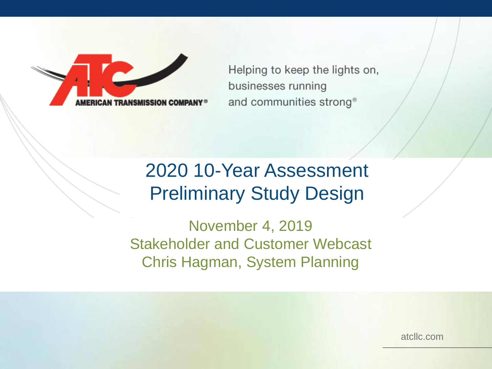

Helping to keep the lights on, businesses running and communities strong®

## 2020 10-Year Assessment Preliminary Study Design

November 4, 2019 Stakeholder and Customer Webcast Chris Hagman, System Planning

atcllc.com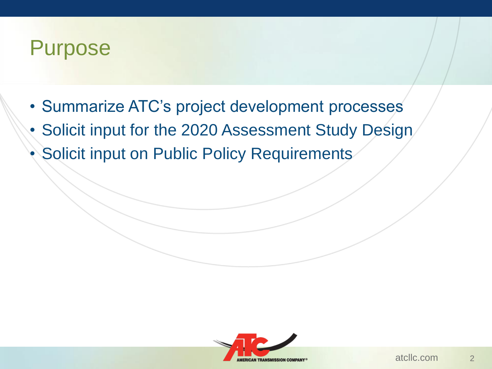## Purpose

- Summarize ATC's project development processes
- Solicit input for the 2020 Assessment Study Design
- Solicit input on Public Policy Requirements

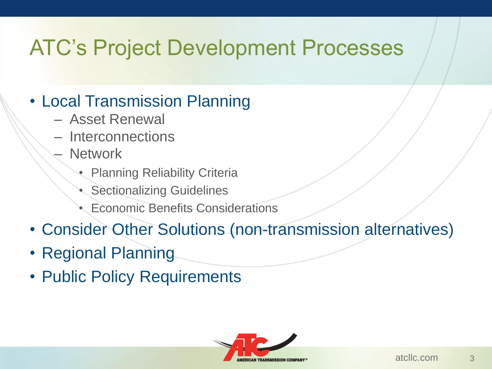## ATC's Project Development Processes

#### • Local Transmission Planning

- Asset Renewal
- Interconnections
- Network
	- **Planning Reliability Criteria**
	- **Sectionalizing Guidelines**
	- Economic Benefits Considerations
- Consider Other Solutions (non-transmission alternatives)
- Regional Planning
- Public Policy Requirements

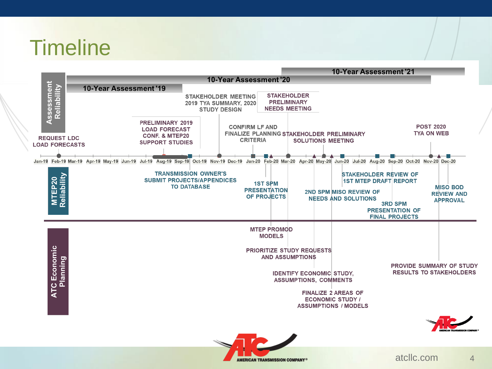# **Timeline**



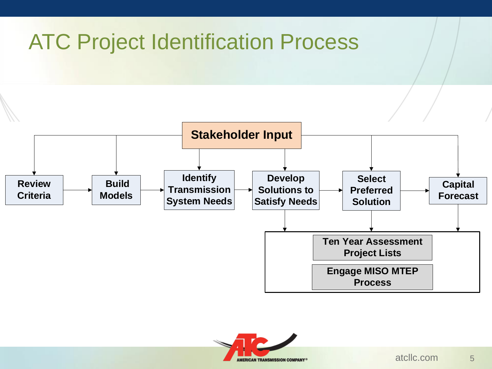# ATC Project Identification Process



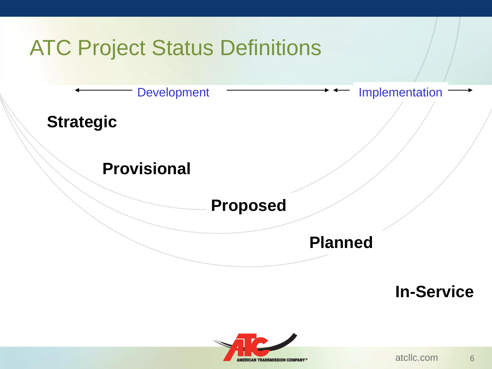

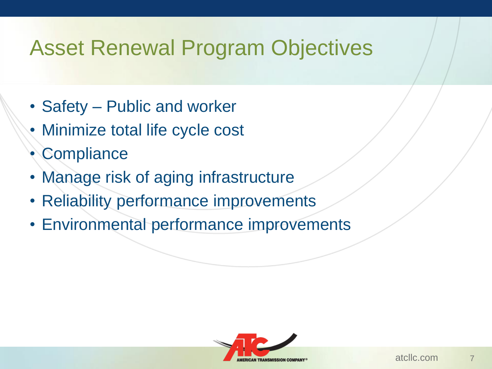## Asset Renewal Program Objectives

- Safety Public and worker
- Minimize total life cycle cost
- **Compliance**
- Manage risk of aging infrastructure
- Reliability performance improvements
- Environmental performance improvements

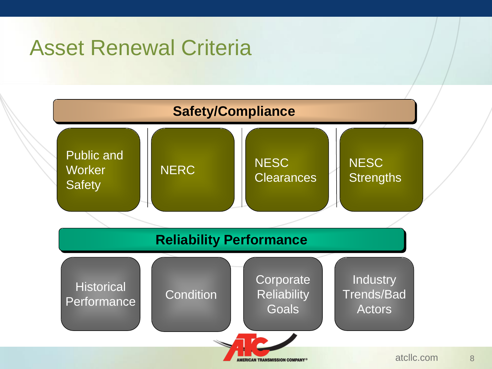## Asset Renewal Criteria

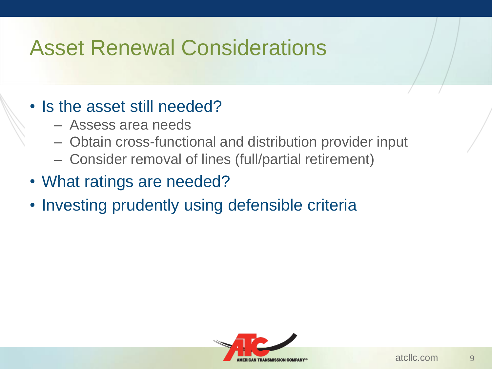## Asset Renewal Considerations

#### • Is the asset still needed?

- Assess area needs
- Obtain cross-functional and distribution provider input
- Consider removal of lines (full/partial retirement)
- What ratings are needed?
- Investing prudently using defensible criteria

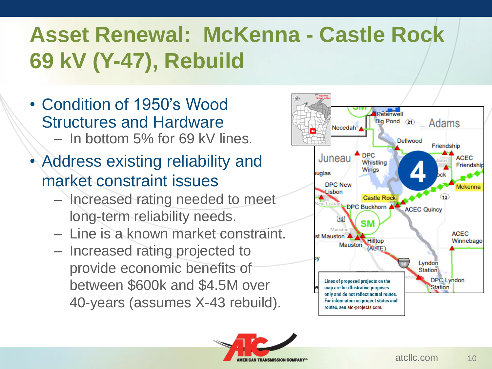# **Asset Renewal: McKenna - Castle Rock 69 kV (Y-47), Rebuild**

- Condition of 1950's Wood Structures and Hardware – In bottom 5% for 69 kV lines.
- Address existing reliability and market constraint issues
	- Increased rating needed to meet long-term reliability needs.
	- Line is a known market constraint.
	- Increased rating projected to provide economic benefits of between \$600k and \$4.5M over 40-years (assumes X-43 rebuild).



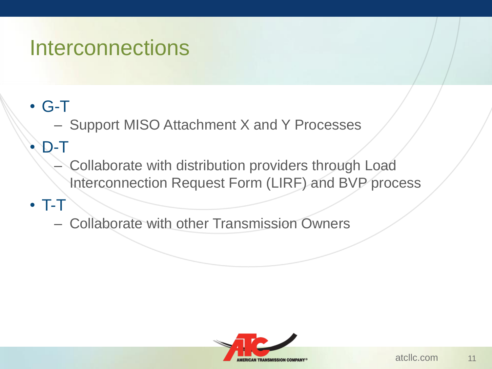## **Interconnections**

### • G-T

– Support MISO Attachment X and Y Processes

### • D-T

- Collaborate with distribution providers through Load Interconnection Request Form (LIRF) and BVP process
- T-T

– Collaborate with other Transmission Owners

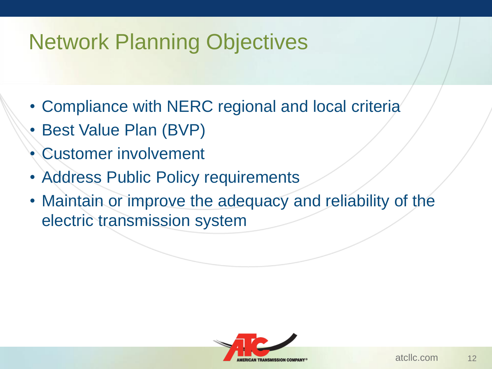# Network Planning Objectives

- Compliance with NERC regional and local criteria
- Best Value Plan (BVP)
- Customer involvement
- Address Public Policy requirements
- Maintain or improve the adequacy and reliability of the electric transmission system

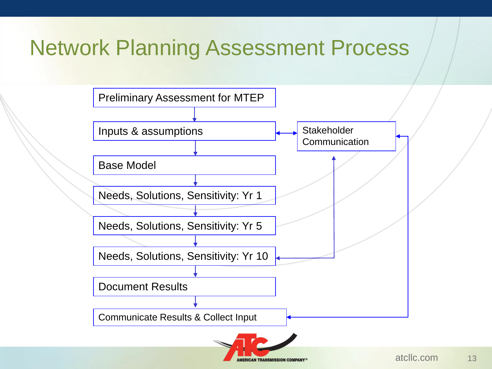# Network Planning Assessment Process

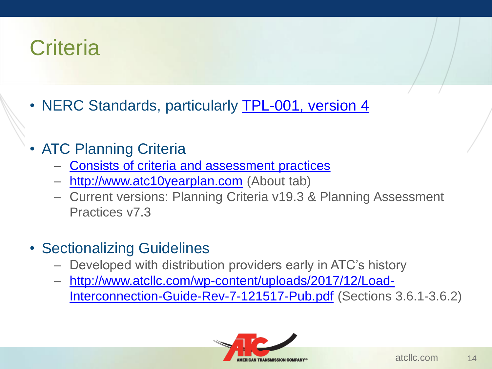# **Criteria**

- NERC Standards, particularly **TPL-001, version 4**
- ATC Planning Criteria
	- Consists of criteria and assessment practices
	- http://www.atc10yearplan.com (About tab)
	- Current versions: Planning Criteria v19.3 & Planning Assessment Practices v7.3
- Sectionalizing Guidelines
	- Developed with distribution providers early in ATC's history
	- [http://www.atcllc.com/wp-content/uploads/2017/12/Load-](http://www.atcllc.com/wp-content/uploads/2017/12/Load-Interconnection-Guide-Rev-7-121517-Pub.pdf)Interconnection-Guide-Rev-7-121517-Pub.pdf (Sections 3.6.1-3.6.2)

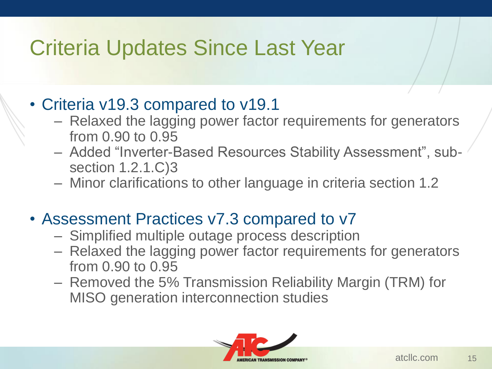# Criteria Updates Since Last Year

#### • Criteria v19.3 compared to v19.1

- Relaxed the lagging power factor requirements for generators from 0.90 to 0.95
- Added "Inverter-Based Resources Stability Assessment", subsection 1.2.1.C)3
- Minor clarifications to other language in criteria section 1.2

#### • Assessment Practices v7.3 compared to v7

- Simplified multiple outage process description
- Relaxed the lagging power factor requirements for generators from 0.90 to 0.95
- Removed the 5% Transmission Reliability Margin (TRM) for MISO generation interconnection studies

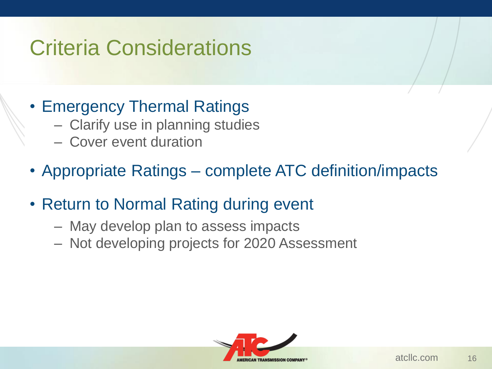# Criteria Considerations

#### • Emergency Thermal Ratings

- Clarify use in planning studies
- Cover event duration
- Appropriate Ratings complete ATC definition/impacts
- Return to Normal Rating during event
	- May develop plan to assess impacts
	- Not developing projects for 2020 Assessment

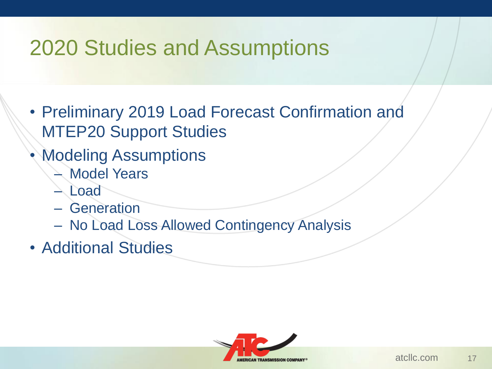# 2020 Studies and Assumptions

- Preliminary 2019 Load Forecast Confirmation and MTEP20 Support Studies
- **Modeling Assumptions** 
	- **Model Years**
	- Load
	- Generation
	- No Load Loss Allowed Contingency Analysis
- Additional Studies

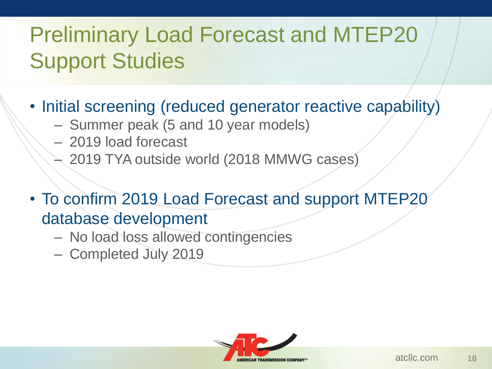# Preliminary Load Forecast and MTEP20 Support Studies

- Initial screening (reduced generator reactive capability)
	- Summer peak (5 and 10 year models)
	- 2019 load forecast
	- 2019 TYA outside world (2018 MMWG cases)
- To confirm 2019 Load Forecast and support MTEP20 database development
	- No load loss allowed contingencies
	- Completed July 2019

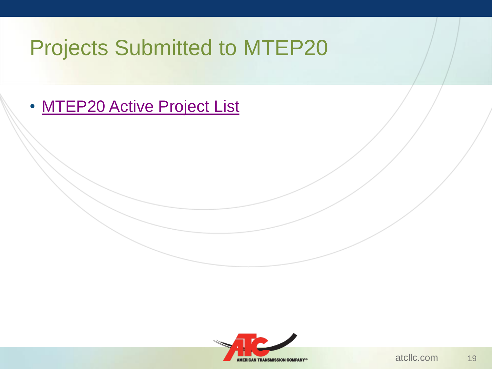## Projects Submitted to MTEP20

• [MTEP20 Active Project List](https://cdn.misoenergy.org/MTEP%20Projects%20Under%20Evaluation368757.xlsx)

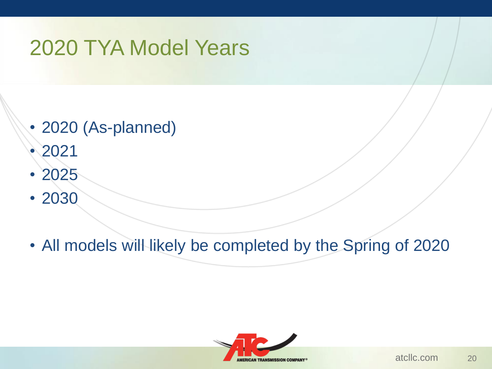# 2020 TYA Model Years

- 2020 (As-planned)
- 2021
- 2025
- 2030
- All models will likely be completed by the Spring of 2020

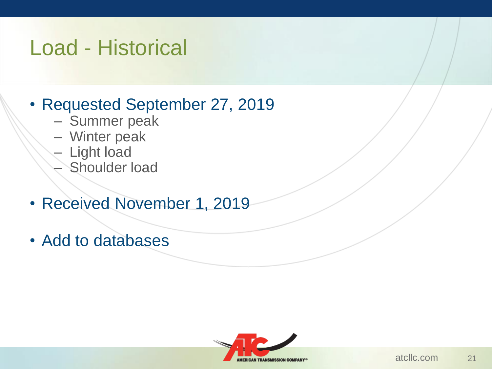## Load - Historical

#### • Requested September 27, 2019

- Summer peak
- Winter peak
- Light load
- Shoulder load
- Received November 1, 2019
- Add to databases

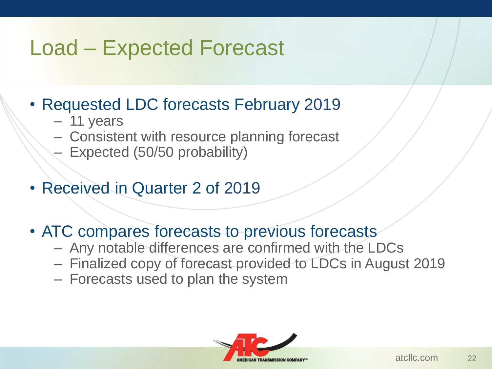## Load – Expected Forecast

- Requested LDC forecasts February 2019
	- 11 years
	- Consistent with resource planning forecast
	- Expected (50/50 probability)
- Received in Quarter 2 of 2019
- ATC compares forecasts to previous forecasts
	- Any notable differences are confirmed with the LDCs
	- Finalized copy of forecast provided to LDCs in August 2019
	- Forecasts used to plan the system

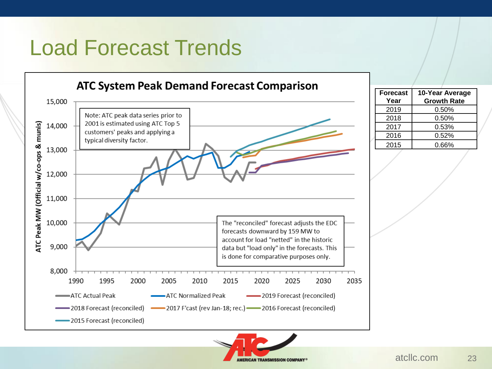# Load Forecast Trends



**MERICAN TRANSMISSION COMPANY** 

| <b>Forecast</b> | 10-Year Average    |
|-----------------|--------------------|
| Year            | <b>Growth Rate</b> |
| 2019            | $0.50\%$           |
| 2018            | $0.50\%$           |
| 2017            | 0.53%              |
| 2016            | 0.52%              |
| 2015            | 0.66%              |
|                 |                    |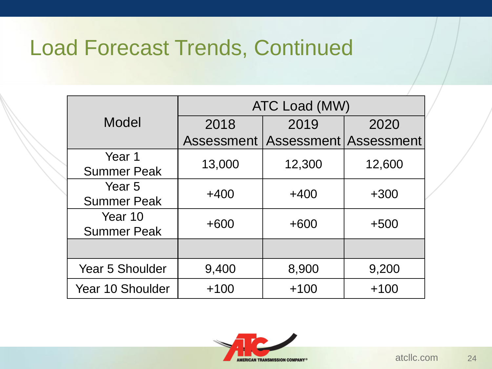# Load Forecast Trends, Continued

|                        | ATC Load (MW) |        |                       |  |
|------------------------|---------------|--------|-----------------------|--|
| Model                  | 2018          | 2019   | 2020                  |  |
|                        | Assessment    |        | Assessment Assessment |  |
| Year 1                 | 13,000        | 12,300 | 12,600                |  |
| <b>Summer Peak</b>     |               |        |                       |  |
| Year <sub>5</sub>      | $+400$        | $+400$ | $+300$                |  |
| <b>Summer Peak</b>     |               |        |                       |  |
| Year 10                | $+600$        | $+600$ | $+500$                |  |
| <b>Summer Peak</b>     |               |        |                       |  |
|                        |               |        |                       |  |
| <b>Year 5 Shoulder</b> | 9,400         | 8,900  | 9,200                 |  |
| Year 10 Shoulder       | $+100$        | $+100$ | $+100$                |  |

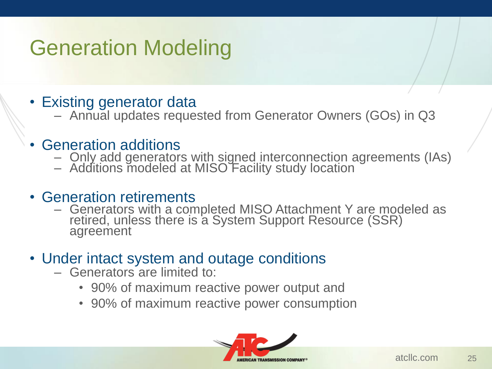# Generation Modeling

#### • Existing generator data

– Annual updates requested from Generator Owners (GOs) in Q3

#### • Generation additions

- Only add generators with signed interconnection agreements (IAs)
- Additions modeled at MISO Facility study location

#### • Generation retirements

- Generators with a completed MISO Attachment Y are modeled as retired, unless there is a System Support Resource (SSR) agreement
- Under intact system and outage conditions
	- Generators are limited to:
		- 90% of maximum reactive power output and
		- 90% of maximum reactive power consumption

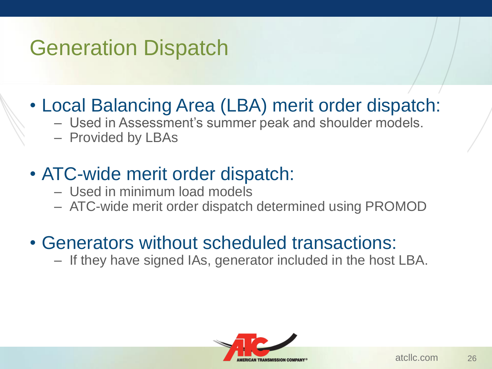# Generation Dispatch

- Local Balancing Area (LBA) merit order dispatch:
	- Used in Assessment's summer peak and shoulder models.
	- Provided by LBAs

## • ATC-wide merit order dispatch:

- Used in minimum load models
- ATC-wide merit order dispatch determined using PROMOD

### • Generators without scheduled transactions:

– If they have signed IAs, generator included in the host LBA.

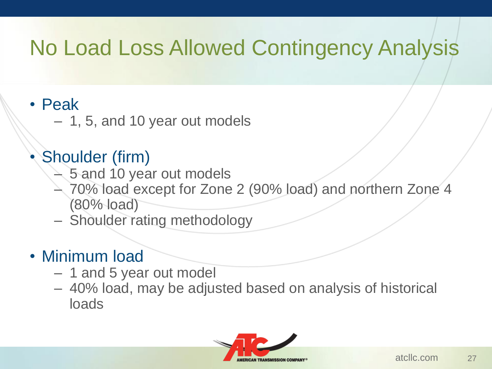# No Load Loss Allowed Contingency Analysis

#### • Peak

– 1, 5, and 10 year out models

### Shoulder (firm)

- 5 and 10 year out models
- 70% load except for Zone 2 (90% load) and northern Zone 4 (80% load)
- Shoulder rating methodology

#### • Minimum load

- 1 and 5 year out model
- 40% load, may be adjusted based on analysis of historical loads

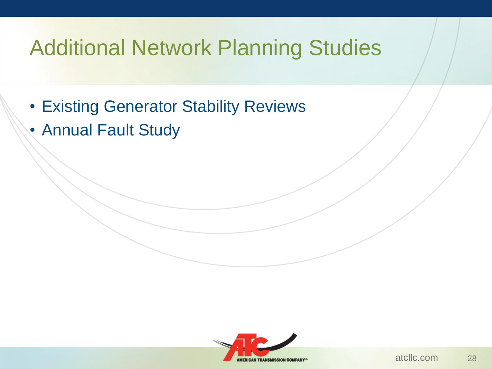# Additional Network Planning Studies

- Existing Generator Stability Reviews
- Annual Fault Study

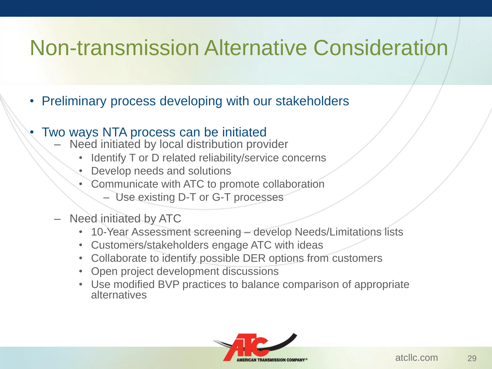# Non-transmission Alternative Consideration

- Preliminary process developing with our stakeholders
- Two ways NTA process can be initiated
	- Need initiated by local distribution provider
		- Identify T or D related reliability/service concerns
		- Develop needs and solutions
		- Communicate with ATC to promote collaboration
			- Use existing D-T or G-T processes
	- Need initiated by ATC
		- 10-Year Assessment screening develop Needs/Limitations lists
		- Customers/stakeholders engage ATC with ideas
		- Collaborate to identify possible DER options from customers
		- Open project development discussions
		- Use modified BVP practices to balance comparison of appropriate alternatives

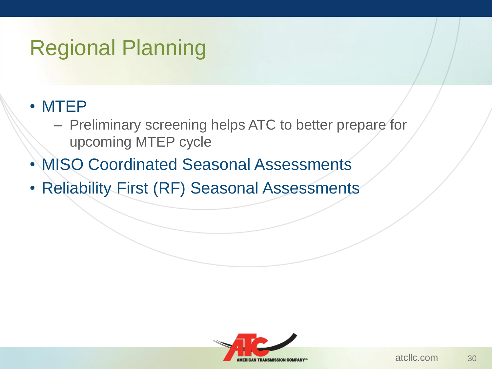# Regional Planning

#### • MTEP

- Preliminary screening helps ATC to better prepare for upcoming MTEP cycle
- MISO Coordinated Seasonal Assessments
- Reliability First (RF) Seasonal Assessments

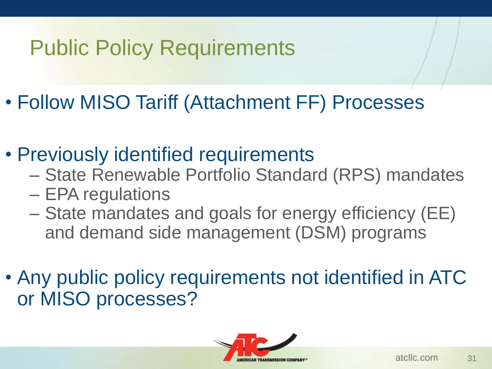# Public Policy Requirements

- Follow MISO Tariff (Attachment FF) Processes
- Previously identified requirements
	- State Renewable Portfolio Standard (RPS) mandates
	- EPA regulations
	- State mandates and goals for energy efficiency (EE) and demand side management (DSM) programs
- Any public policy requirements not identified in ATC or MISO processes?

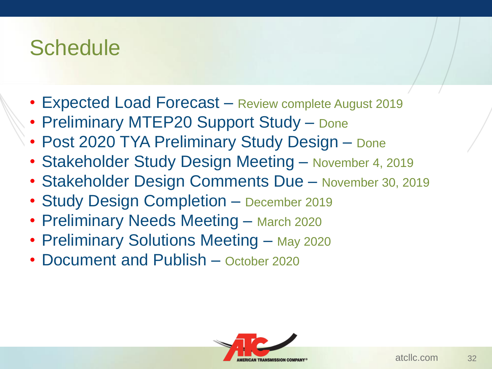## **Schedule**

- Expected Load Forecast Review complete August 2019
- Preliminary MTEP20 Support Study Done
- Post 2020 TYA Preliminary Study Design Done
- Stakeholder Study Design Meeting November 4, 2019
- Stakeholder Design Comments Due November 30, 2019
- Study Design Completion December 2019
- Preliminary Needs Meeting March 2020
- Preliminary Solutions Meeting May 2020
- Document and Publish October 2020